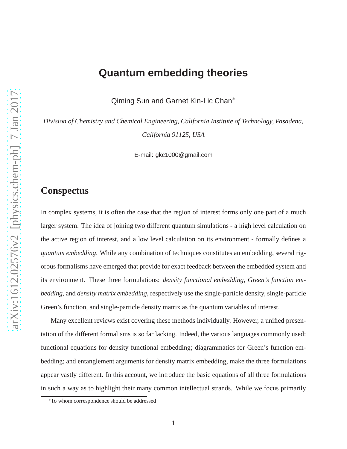# **Quantum embedding theories**

Qiming Sun and Garnet Kin-Lic Chan<sup>∗</sup>

*Division of Chemistry and Chemical Engineering, California Institute of Technology, Pasadena, California 91125, USA*

E-mail:<gkc1000@gmail.com>

#### **Conspectus**

In complex systems, it is often the case that the region of interest forms only one part of a much larger system. The idea of joining two different quantum simulations - a high level calculation on the active region of interest, and a low level calculation on its environment - formally defines a *quantum embedding*. While any combination of techniques constitutes an embedding, several rigorous formalisms have emerged that provide for exact feedback between the embedded system and its environment. These three formulations: *density functional embedding*, *Green's function embedding*, and *density matrix embedding*, respectively use the single-particle density, single-particle Green's function, and single-particle density matrix as the quantum variables of interest.

Many excellent reviews exist covering these methods individually. However, a unified presentation of the different formalisms is so far lacking. Indeed, the various languages commonly used: functional equations for density functional embedding; diagrammatics for Green's function embedding; and entanglement arguments for density matrix embedding, make the three formulations appear vastly different. In this account, we introduce the basic equations of all three formulations in such a way as to highlight their many common intellectual strands. While we focus primarily

<sup>∗</sup>To whom correspondence should be addressed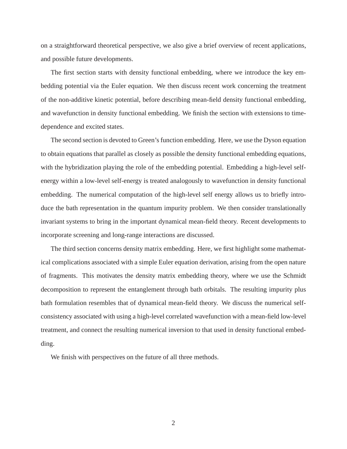on a straightforward theoretical perspective, we also give a brief overview of recent applications, and possible future developments.

The first section starts with density functional embedding, where we introduce the key embedding potential via the Euler equation. We then discuss recent work concerning the treatment of the non-additive kinetic potential, before describing mean-field density functional embedding, and wavefunction in density functional embedding. We finish the section with extensions to timedependence and excited states.

The second section is devoted to Green's function embedding. Here, we use the Dyson equation to obtain equations that parallel as closely as possible the density functional embedding equations, with the hybridization playing the role of the embedding potential. Embedding a high-level selfenergy within a low-level self-energy is treated analogously to wavefunction in density functional embedding. The numerical computation of the high-level self energy allows us to briefly introduce the bath representation in the quantum impurity problem. We then consider translationally invariant systems to bring in the important dynamical mean-field theory. Recent developments to incorporate screening and long-range interactions are discussed.

The third section concerns density matrix embedding. Here, we first highlight some mathematical complications associated with a simple Euler equation derivation, arising from the open nature of fragments. This motivates the density matrix embedding theory, where we use the Schmidt decomposition to represent the entanglement through bath orbitals. The resulting impurity plus bath formulation resembles that of dynamical mean-field theory. We discuss the numerical selfconsistency associated with using a high-level correlated wavefunction with a mean-field low-level treatment, and connect the resulting numerical inversion to that used in density functional embedding.

We finish with perspectives on the future of all three methods.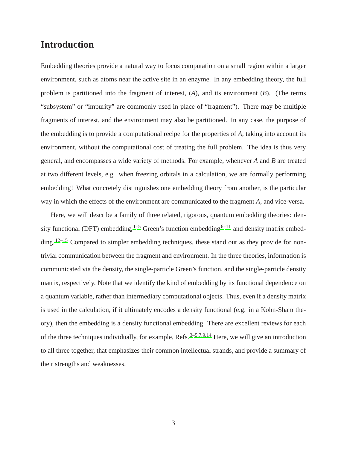#### **Introduction**

Embedding theories provide a natural way to focus computation on a small region within a larger environment, such as atoms near the active site in an enzyme. In any embedding theory, the full problem is partitioned into the fragment of interest, (*A*), and its environment (*B*). (The terms "subsystem" or "impurity" are commonly used in place of "fragment"). There may be multiple fragments of interest, and the environment may also be partitioned. In any case, the purpose of the embedding is to provide a computational recipe for the properties of *A*, taking into account its environment, without the computational cost of treating the full problem. The idea is thus very general, and encompasses a wide variety of methods. For example, whenever *A* and *B* are treated at two different levels, e.g. when freezing orbitals in a calculation, we are formally performing embedding! What concretely distinguishes one embedding theory from another, is the particular way in which the effects of the environment are communicated to the fragment *A*, and vice-versa.

Here, we will describe a family of three related, rigorous, quantum embedding theories: density functional (DFT) embedding,  $1-5$  $1-5$  Green's function embedding  $6-11$  $6-11$  and density matrix embed-ding.<sup>[12](#page-18-3)[–15](#page-19-0)</sup> Compared to simpler embedding techniques, these stand out as they provide for nontrivial communication between the fragment and environment. In the three theories, information is communicated via the density, the single-particle Green's function, and the single-particle density matrix, respectively. Note that we identify the kind of embedding by its functional dependence on a quantum variable, rather than intermediary computational objects. Thus, even if a density matrix is used in the calculation, if it ultimately encodes a density functional (e.g. in a Kohn-Sham theory), then the embedding is a density functional embedding. There are excellent reviews for each of the three techniques individually, for example, Refs.<sup>[3](#page-18-4)[–5](#page-18-0)[,7](#page-18-5)[,9](#page-18-6)[,14](#page-19-1)</sup> Here, we will give an introduction to all three together, that emphasizes their common intellectual strands, and provide a summary of their strengths and weaknesses.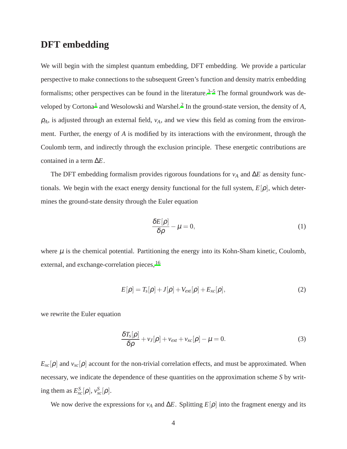#### **DFT embedding**

We will begin with the simplest quantum embedding, DFT embedding. We provide a particular perspective to make connections to the subsequent Green's function and density matrix embedding formalisms; other perspectives can be found in the literature.<sup>[3](#page-18-4)[–5](#page-18-0)</sup> The formal groundwork was de-veloped by Cortona<sup>[1](#page-17-0)</sup> and Wesolowski and Warshel.<sup>[2](#page-17-1)</sup> In the ground-state version, the density of A,  $\rho_A$ , is adjusted through an external field,  $v_A$ , and we view this field as coming from the environment. Further, the energy of *A* is modified by its interactions with the environment, through the Coulomb term, and indirectly through the exclusion principle. These energetic contributions are contained in a term ∆*E*.

The DFT embedding formalism provides rigorous foundations for *v*<sup>*A*</sup> and ∆*E* as density functionals. We begin with the exact energy density functional for the full system,  $E[\rho]$ , which determines the ground-state density through the Euler equation

$$
\frac{\delta E[\rho]}{\delta \rho} - \mu = 0,\tag{1}
$$

where  $\mu$  is the chemical potential. Partitioning the energy into its Kohn-Sham kinetic, Coulomb, external, and exchange-correlation pieces, <sup>[16](#page-19-2)</sup>

$$
E[\rho] = T_s[\rho] + J[\rho] + V_{ext}[\rho] + E_{xc}[\rho], \qquad (2)
$$

we rewrite the Euler equation

$$
\frac{\delta T_s[\rho]}{\delta \rho} + v_J[\rho] + v_{ext} + v_{xc}[\rho] - \mu = 0.
$$
\n(3)

 $E_{xc}[\rho]$  and  $v_{xc}[\rho]$  account for the non-trivial correlation effects, and must be approximated. When necessary, we indicate the dependence of these quantities on the approximation scheme *S* by writing them as  $E_{xc}^S[\rho], v_{xc}^S[\rho].$ 

We now derive the expressions for  $v_A$  and  $\Delta E$ . Splitting  $E[\rho]$  into the fragment energy and its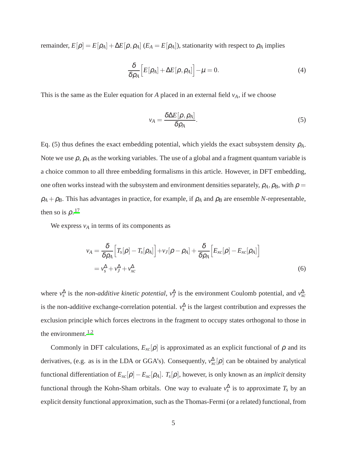remainder,  $E[\rho] = E[\rho_A] + \Delta E[\rho, \rho_A]$  ( $E_A = E[\rho_A]$ ), stationarity with respect to  $\rho_A$  implies

$$
\frac{\delta}{\delta \rho_A} \Big[ E[\rho_A] + \Delta E[\rho, \rho_A] \Big] - \mu = 0. \tag{4}
$$

This is the same as the Euler equation for *A* placed in an external field *vA*, if we choose

$$
v_A = \frac{\delta \Delta E[\rho, \rho_A]}{\delta \rho_A}.\tag{5}
$$

Eq. (5) thus defines the exact embedding potential, which yields the exact subsystem density  $\rho_A$ . Note we use  $\rho$ ,  $\rho_A$  as the working variables. The use of a global and a fragment quantum variable is a choice common to all three embedding formalisms in this article. However, in DFT embedding, one often works instead with the subsystem and environment densities separately,  $\rho_A$ ,  $\rho_B$ , with  $\rho =$  $\rho_A + \rho_B$ . This has advantages in practice, for example, if  $\rho_A$  and  $\rho_B$  are ensemble *N*-representable, then so is  $\rho$ .<sup>[17](#page-19-3)</sup>

We express  $v_A$  in terms of its components as

$$
v_A = \frac{\delta}{\delta \rho_A} \Big[ T_s[\rho] - T_s[\rho_A] \Big] + v_J[\rho - \rho_A] + \frac{\delta}{\delta \rho_A} \Big[ E_{xc}[\rho] - E_{xc}[\rho_A] \Big]
$$
  
=  $v_s^{\Delta} + v_J^{\Delta} + v_{xc}^{\Delta}$  (6)

where  $v_s^{\Delta}$  is the *non-additive kinetic potential*,  $v_J^{\Delta}$  is the environment Coulomb potential, and  $v_{xc}^{\Delta}$ is the non-additive exchange-correlation potential.  $v_s^{\Delta}$  is the largest contribution and expresses the exclusion principle which forces electrons in the fragment to occupy states orthogonal to those in the environment. $1,2$  $1,2$ 

Commonly in DFT calculations,  $E_{xc}[\rho]$  is approximated as an explicit functional of  $\rho$  and its derivatives, (e.g. as is in the LDA or GGA's). Consequently,  $v_{xc}^{\Delta}[\rho]$  can be obtained by analytical functional differentiation of *Exc*[ρ]−*Exc*[ρ*A*]. *T<sup>s</sup>* [ρ], however, is only known as an *implicit* density functional through the Kohn-Sham orbitals. One way to evaluate  $v_s^{\Delta}$  is to approximate  $T_s$  by an explicit density functional approximation, such as the Thomas-Fermi (or a related) functional, from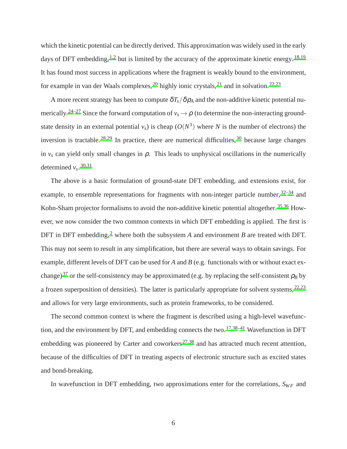which the kinetic potential can be directly derived. This approximation was widely used in the early days of DFT embedding,  $^{1,2}$  $^{1,2}$  $^{1,2}$  $^{1,2}$  but is limited by the accuracy of the approximate kinetic energy.  $^{18,19}$  $^{18,19}$  $^{18,19}$  $^{18,19}$ It has found most success in applications where the fragment is weakly bound to the environment, for example in van der Waals complexes,  $^{20}$  $^{20}$  $^{20}$  highly ionic crystals,  $^{21}$  $^{21}$  $^{21}$  and in solvation.  $^{22,23}$  $^{22,23}$  $^{22,23}$  $^{22,23}$ 

A more recent strategy has been to compute  $\delta T_s/\delta \rho_A$  and the non-additive kinetic potential nu-merically.<sup>[24](#page-20-1)[–27](#page-20-2)</sup> Since the forward computation of  $v_s \rightarrow \rho$  (to determine the non-interacting groundstate density in an external potential  $v_s$ ) is cheap  $(O(N^3))$  where *N* is the number of electrons) the inversion is tractable.<sup>[28](#page-20-3)[,29](#page-20-4)</sup> In practice, there are numerical difficulties,  $30$  because large changes in  $v_s$  can yield only small changes in  $\rho$ . This leads to unphysical oscillations in the numerically determined  $v_s$ .  $30,31$  $30,31$ 

The above is a basic formulation of ground-state DFT embedding, and extensions exist, for example, to ensemble representations for fragments with non-integer particle number,  $32-34$  $32-34$  and Kohn-Sham projector formalisms to avoid the non-additive kinetic potential altogether.<sup>[35](#page-21-1)[,36](#page-21-2)</sup> However, we now consider the two common contexts in which DFT embedding is applied. The first is DFT in DFT embedding,<sup>[2](#page-17-1)</sup> where both the subsystem *A* and environment *B* are treated with DFT. This may not seem to result in any simplification, but there are several ways to obtain savings. For example, different levels of DFT can be used for *A* and *B* (e.g. functionals with or without exact ex-change)<sup>[37](#page-21-3)</sup> or the self-consistency may be approximated (e.g. by replacing the self-consistent  $\rho_B$  by a frozen superposition of densities). The latter is particularly appropriate for solvent systems, $22,23$  $22,23$ and allows for very large environments, such as protein frameworks, to be considered.

The second common context is where the fragment is described using a high-level wavefunc-tion, and the environment by DFT, and embedding connects the two.<sup>[17](#page-19-3)[,38](#page-21-4)[–41](#page-21-5)</sup> Wavefunction in DFT embedding was pioneered by Carter and coworkers<sup>[27](#page-20-2)[,38](#page-21-4)</sup> and has attracted much recent attention, because of the difficulties of DFT in treating aspects of electronic structure such as excited states and bond-breaking.

In wavefunction in DFT embedding, two approximations enter for the correlations,  $S_{WF}$  and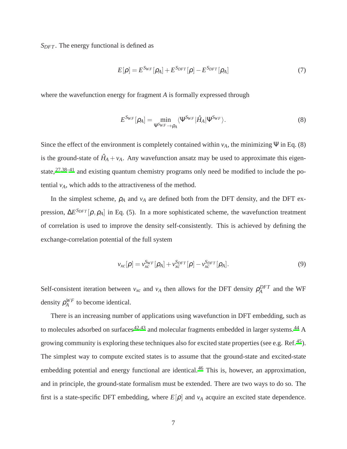*S<sub>DFT</sub>*. The energy functional is defined as

$$
E[\rho] = E^{S_{WF}}[\rho_A] + E^{S_{DFT}}[\rho] - E^{S_{DFT}}[\rho_A]
$$
\n(7)

where the wavefunction energy for fragment *A* is formally expressed through

$$
E^{S_{WF}}[\rho_A] = \min_{\Psi^{S_{WF}} \to \rho_A} \langle \Psi^{S_{WF}} | \hat{H}_A | \Psi^{S_{WF}} \rangle.
$$
 (8)

Since the effect of the environment is completely contained within  $v_A$ , the minimizing Ψ in Eq. (8) is the ground-state of  $\hat{H}_A + v_A$ . Any wavefunction ansatz may be used to approximate this eigen-state,<sup>[27](#page-20-2)[,38](#page-21-4)[–41](#page-21-5)</sup> and existing quantum chemistry programs only need be modified to include the potential  $v_A$ , which adds to the attractiveness of the method.

In the simplest scheme,  $\rho_A$  and  $v_A$  are defined both from the DFT density, and the DFT expression, ∆*E <sup>S</sup>DFT* [ρ,ρ*A*] in Eq. (5). In a more sophisticated scheme, the wavefunction treatment of correlation is used to improve the density self-consistently. This is achieved by defining the exchange-correlation potential of the full system

$$
v_{xc}[\rho] = v_{xc}^{S_{WF}}[\rho_A] + v_{xc}^{S_{DFT}}[\rho] - v_{xc}^{S_{DFT}}[\rho_A].
$$
\n(9)

Self-consistent iteration between  $v_{xc}$  and  $v_A$  then allows for the DFT density  $\rho_A^{DFT}$  and the WF density ρ *WF*  $A^{WF}$  to become identical.

There is an increasing number of applications using wavefunction in DFT embedding, such as to molecules adsorbed on surfaces<sup>[42](#page-21-6)[,43](#page-22-0)</sup> and molecular fragments embedded in larger systems.<sup>[44](#page-22-1)</sup> A growing community is exploring these techniques also for excited state properties (see e.g. Ref.<sup>[45](#page-22-2)</sup>). The simplest way to compute excited states is to assume that the ground-state and excited-state embedding potential and energy functional are identical.<sup>[46](#page-22-3)</sup> This is, however, an approximation, and in principle, the ground-state formalism must be extended. There are two ways to do so. The first is a state-specific DFT embedding, where  $E[\rho]$  and  $v_A$  acquire an excited state dependence.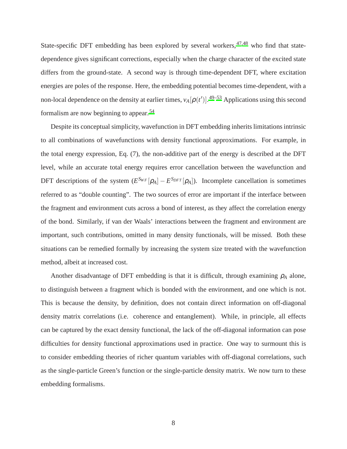State-specific DFT embedding has been explored by several workers,  $47,48$  $47,48$  who find that statedependence gives significant corrections, especially when the charge character of the excited state differs from the ground-state. A second way is through time-dependent DFT, where excitation energies are poles of the response. Here, the embedding potential becomes time-dependent, with a non-local dependence on the density at earlier times,  $v_A[\rho(t')]$ .<sup>[49](#page-22-6)[–53](#page-23-0)</sup> Applications using this second formalism are now beginning to appear.<sup>[54](#page-23-1)</sup>

Despite its conceptual simplicity, wavefunction in DFT embedding inherits limitations intrinsic to all combinations of wavefunctions with density functional approximations. For example, in the total energy expression, Eq. (7), the non-additive part of the energy is described at the DFT level, while an accurate total energy requires error cancellation between the wavefunction and DFT descriptions of the system  $(E^{S_{WF}}[\rho_A] - E^{S_{DFT}}[\rho_A])$ . Incomplete cancellation is sometimes referred to as "double counting". The two sources of error are important if the interface between the fragment and environment cuts across a bond of interest, as they affect the correlation energy of the bond. Similarly, if van der Waals' interactions between the fragment and environment are important, such contributions, omitted in many density functionals, will be missed. Both these situations can be remedied formally by increasing the system size treated with the wavefunction method, albeit at increased cost.

Another disadvantage of DFT embedding is that it is difficult, through examining  $\rho_A$  alone, to distinguish between a fragment which is bonded with the environment, and one which is not. This is because the density, by definition, does not contain direct information on off-diagonal density matrix correlations (i.e. coherence and entanglement). While, in principle, all effects can be captured by the exact density functional, the lack of the off-diagonal information can pose difficulties for density functional approximations used in practice. One way to surmount this is to consider embedding theories of richer quantum variables with off-diagonal correlations, such as the single-particle Green's function or the single-particle density matrix. We now turn to these embedding formalisms.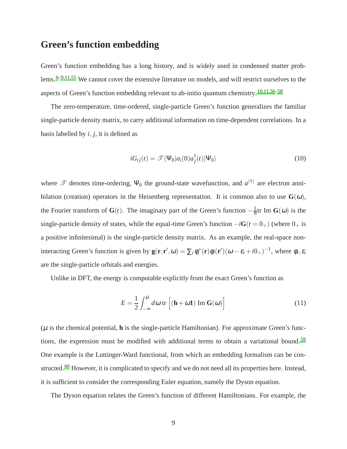#### **Green's function embedding**

Green's function embedding has a long history, and is widely used in condensed matter problems.[6](#page-18-1)[–9](#page-18-6)[,11](#page-18-2)[,55](#page-23-2) We cannot cover the extensive literature on models, and will restrict ourselves to the aspects of Green's function embedding relevant to ab-initio quantum chemistry.  $10,11,56-58$  $10,11,56-58$  $10,11,56-58$  $10,11,56-58$ 

The zero-temperature, time-ordered, single-particle Green's function generalizes the familiar single-particle density matrix, to carry additional information on time-dependent correlations. In a basis labelled by *i*, *j*, it is defined as

$$
iG_{ij}(t) = \mathcal{F}\langle \Psi_0|a_i(0)a_j^{\dagger}(t)|\Psi_0\rangle
$$
\n(10)

where  $\mathscr T$  denotes time-ordering,  $\Psi_0$  the ground-state wavefunction, and  $a^{(\dagger)}$  are electron annihilation (creation) operators in the Heisenberg representation. It is common also to use  $G(\omega)$ , the Fourier transform of  $G(t)$ . The imaginary part of the Green's function  $-\frac{1}{\pi}$ tr Im  $G(\omega)$  is the single-particle density of states, while the equal-time Green's function  $-iG(t = 0_+)$  (where  $0_+$  is a positive infinitesimal) is the single-particle density matrix. As an example, the real-space noninteracting Green's function is given by  $\mathbf{g}(\mathbf{r}, \mathbf{r}', \omega) = \sum_i \phi_i^*(\mathbf{r}) \phi_i(\mathbf{r}') (\omega - \varepsilon_i + i0_+)^{-1}$ , where  $\phi_i, \varepsilon_i$ are the single-particle orbitals and energies.

Unlike in DFT, the energy is computable explicitly from the exact Green's function as

$$
E = \frac{1}{2} \int_{-\infty}^{\mu} d\omega \, \text{tr}\left[ (\mathbf{h} + \omega \mathbf{1}) \, \text{Im} \, \mathbf{G}(\omega) \right] \tag{11}
$$

 $(\mu)$  is the chemical potential, **h** is the single-particle Hamiltonian). For approximate Green's func-tions, the expression must be modified with additional terms to obtain a variational bound.<sup>[59](#page-23-5)</sup> One example is the Luttinger-Ward functional, from which an embedding formalism can be con-structed.<sup>[60](#page-23-6)</sup> However, it is complicated to specify and we do not need all its properties here. Instead, it is sufficient to consider the corresponding Euler equation, namely the Dyson equation.

The Dyson equation relates the Green's function of different Hamiltonians. For example, the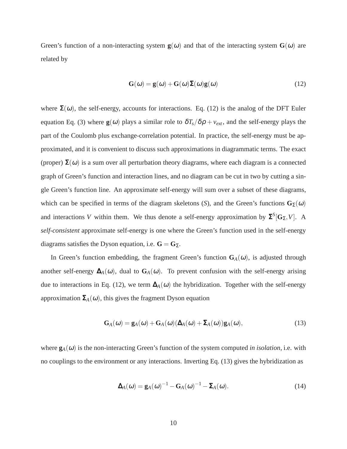Green's function of a non-interacting system  $\mathbf{g}(\omega)$  and that of the interacting system  $\mathbf{G}(\omega)$  are related by

$$
\mathbf{G}(\omega) = \mathbf{g}(\omega) + \mathbf{G}(\omega)\mathbf{\Sigma}(\omega)\mathbf{g}(\omega) \tag{12}
$$

where  $\Sigma(\omega)$ , the self-energy, accounts for interactions. Eq. (12) is the analog of the DFT Euler equation Eq. (3) where  $\mathbf{g}(\omega)$  plays a similar role to  $\delta T_s/\delta\rho + v_{ext}$ , and the self-energy plays the part of the Coulomb plus exchange-correlation potential. In practice, the self-energy must be approximated, and it is convenient to discuss such approximations in diagrammatic terms. The exact (proper)  $\Sigma(\omega)$  is a sum over all perturbation theory diagrams, where each diagram is a connected graph of Green's function and interaction lines, and no diagram can be cut in two by cutting a single Green's function line. An approximate self-energy will sum over a subset of these diagrams, which can be specified in terms of the diagram skeletons (*S*), and the Green's functions  $G_{\Sigma}(\omega)$ and interactions *V* within them. We thus denote a self-energy approximation by  $\Sigma^{S}[\mathbf{G}_{\Sigma}, V]$ . A *self-consistent* approximate self-energy is one where the Green's function used in the self-energy diagrams satisfies the Dyson equation, i.e.  $\mathbf{G} = \mathbf{G}_{\Sigma}$ .

In Green's function embedding, the fragment Green's function  $G_A(\omega)$ , is adjusted through another self-energy  $\Delta_A(\omega)$ , dual to  $G_A(\omega)$ . To prevent confusion with the self-energy arising due to interactions in Eq. (12), we term  $\Delta_A(\omega)$  the hybridization. Together with the self-energy approximation  $\Sigma_A(\omega)$ , this gives the fragment Dyson equation

$$
\mathbf{G}_{A}(\omega) = \mathbf{g}_{A}(\omega) + \mathbf{G}_{A}(\omega)(\mathbf{\Delta}_{A}(\omega) + \mathbf{\Sigma}_{A}(\omega))\mathbf{g}_{A}(\omega), \qquad (13)
$$

where  $\mathbf{g}_A(\omega)$  is the non-interacting Green's function of the system computed *in isolation*, i.e. with no couplings to the environment or any interactions. Inverting Eq. (13) gives the hybridization as

$$
\mathbf{\Delta}_A(\omega) = \mathbf{g}_A(\omega)^{-1} - \mathbf{G}_A(\omega)^{-1} - \mathbf{\Sigma}_A(\omega). \tag{14}
$$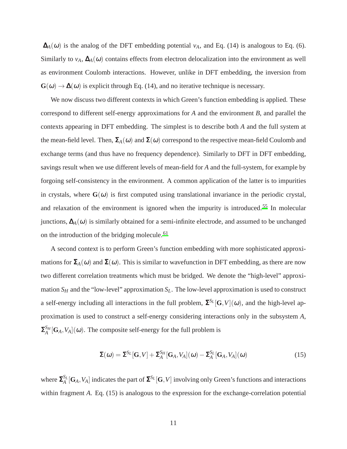$\Delta_A(\omega)$  is the analog of the DFT embedding potential  $v_A$ , and Eq. (14) is analogous to Eq. (6). Similarly to  $v_A$ ,  $\Delta_A(\omega)$  contains effects from electron delocalization into the environment as well as environment Coulomb interactions. However, unlike in DFT embedding, the inversion from  $\mathbf{G}(\omega) \rightarrow \mathbf{\Delta}(\omega)$  is explicit through Eq. (14), and no iterative technique is necessary.

We now discuss two different contexts in which Green's function embedding is applied. These correspond to different self-energy approximations for *A* and the environment *B*, and parallel the contexts appearing in DFT embedding. The simplest is to describe both *A* and the full system at the mean-field level. Then,  $\Sigma_A(\omega)$  and  $\Sigma(\omega)$  correspond to the respective mean-field Coulomb and exchange terms (and thus have no frequency dependence). Similarly to DFT in DFT embedding, savings result when we use different levels of mean-field for *A* and the full-system, for example by forgoing self-consistency in the environment. A common application of the latter is to impurities in crystals, where  $\mathbf{G}(\omega)$  is first computed using translational invariance in the periodic crystal, and relaxation of the environment is ignored when the impurity is introduced.<sup>[55](#page-23-2)</sup> In molecular junctions,  $\Delta_A(\omega)$  is similarly obtained for a semi-infinite electrode, and assumed to be unchanged on the introduction of the bridging molecule.<sup>[61](#page-23-7)</sup>

A second context is to perform Green's function embedding with more sophisticated approximations for  $\Sigma_A(\omega)$  and  $\Sigma(\omega)$ . This is similar to wavefunction in DFT embedding, as there are now two different correlation treatments which must be bridged. We denote the "high-level" approximation  $S_H$  and the "low-level" approximation  $S_L$ . The low-level approximation is used to construct a self-energy including all interactions in the full problem,  $\Sigma^{S_L}[G,V](\omega)$ , and the high-level approximation is used to construct a self-energy considering interactions only in the subsystem *A*,  $\mathbf{\Sigma}_A^{S_H}$  $A_A^{S_H}[\mathbf{G}_A, V_A](\omega)$ . The composite self-energy for the full problem is

$$
\Sigma(\omega) = \Sigma^{S_L}[G, V] + \Sigma_A^{S_H}[G_A, V_A](\omega) - \Sigma_A^{S_L}[G_A, V_A](\omega)
$$
\n(15)

where  $\mathbf{\Sigma}_{A}^{S_{L}}$  $\frac{S_L}{A}[\mathbf{G}_A, V_A]$  indicates the part of  $\mathbf{\Sigma}^{S_L}[\mathbf{G}, V]$  involving only Green's functions and interactions within fragment *A*. Eq. (15) is analogous to the expression for the exchange-correlation potential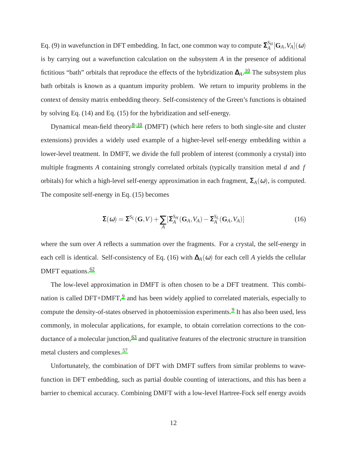Eq. (9) in wavefunction in DFT embedding. In fact, one common way to compute  $\mathbf{\Sigma}_{A}^{S_{H}}$  $\int_A^{S_H} [\mathbf{G}_A, V_A](\boldsymbol{\omega})$ is by carrying out a wavefunction calculation on the subsystem *A* in the presence of additional fictitious "bath" orbitals that reproduce the effects of the hybridization ∆*A*. [10](#page-18-7) The subsystem plus bath orbitals is known as a quantum impurity problem. We return to impurity problems in the context of density matrix embedding theory. Self-consistency of the Green's functions is obtained by solving Eq. (14) and Eq. (15) for the hybridization and self-energy.

Dynamical mean-field theory $8-10$  $8-10$  (DMFT) (which here refers to both single-site and cluster extensions) provides a widely used example of a higher-level self-energy embedding within a lower-level treatment. In DMFT, we divide the full problem of interest (commonly a crystal) into multiple fragments *A* containing strongly correlated orbitals (typically transition metal *d* and *f* orbitals) for which a high-level self-energy approximation in each fragment,  $\Sigma_A(\omega)$ , is computed. The composite self-energy in Eq. (15) becomes

$$
\Sigma(\omega) = \Sigma^{S_L}(G, V) + \sum_A [\Sigma_A^{S_H}(G_A, V_A) - \Sigma_A^{S_L}(G_A, V_A)] \tag{16}
$$

where the sum over *A* reflects a summation over the fragments. For a crystal, the self-energy in each cell is identical. Self-consistency of Eq. (16) with  $\Delta_A(\omega)$  for each cell *A* yields the cellular DMFT equations.<sup>[62](#page-24-0)</sup>

The low-level approximation in DMFT is often chosen to be a DFT treatment. This combi-nation is called DFT+DMFT,<sup>[9](#page-18-6)</sup> and has been widely applied to correlated materials, especially to compute the density-of-states observed in photoemission experiments.<sup>[9](#page-18-6)</sup> It has also been used, less commonly, in molecular applications, for example, to obtain correlation corrections to the con-ductance of a molecular junction,<sup>[63](#page-24-1)</sup> and qualitative features of the electronic structure in transition metal clusters and complexes.[57](#page-23-8)

Unfortunately, the combination of DFT with DMFT suffers from similar problems to wavefunction in DFT embedding, such as partial double counting of interactions, and this has been a barrier to chemical accuracy. Combining DMFT with a low-level Hartree-Fock self energy avoids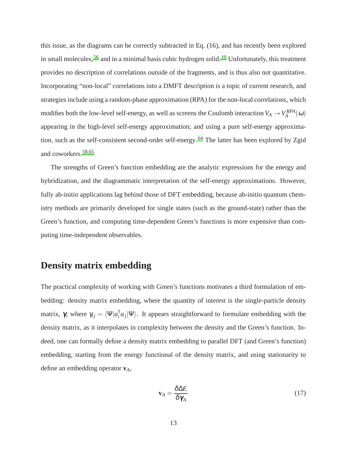this issue, as the diagrams can be correctly subtracted in Eq. (16), and has recently been explored in small molecules,<sup>[56](#page-23-3)</sup> and in a minimal basis cubic hydrogen solid.<sup>[10](#page-18-7)</sup> Unfortunately, this treatment provides no description of correlations outside of the fragments, and is thus also not quantitative. Incorporating "non-local" correlations into a DMFT description is a topic of current research, and strategies include using a random-phase approximation (RPA) for the non-local correlations, which modifies both the low-level self-energy, as well as screens the Coulomb interaction  $V_A \to V_A^{RPA}(\omega)$ appearing in the high-level self-energy approximation; and using a pure self-energy approxima-tion, such as the self-consistent second-order self-energy.<sup>[64](#page-24-2)</sup> The latter has been explored by Zgid and coworkers.[58](#page-23-4)[,65](#page-24-3)

The strengths of Green's function embedding are the analytic expressions for the energy and hybridization, and the diagrammatic interpretation of the self-energy approximations. However, fully ab-initio applications lag behind those of DFT embedding, because ab-initio quantum chemistry methods are primarily developed for single states (such as the ground-state) rather than the Green's function, and computing time-dependent Green's functions is more expensive than computing time-independent observables.

## **Density matrix embedding**

The practical complexity of working with Green's functions motivates a third formulation of embedding: density matrix embedding, where the quantity of interest is the single-particle density matrix,  $\gamma$ , where  $\gamma_{ij} = \langle \Psi | a_i^{\dagger} \rangle$  $\int_a^T a_j |\Psi\rangle$ . It appears straightforward to formulate embedding with the density matrix, as it interpolates in complexity between the density and the Green's function. Indeed, one can formally define a density matrix embedding to parallel DFT (and Green's function) embedding, starting from the energy functional of the density matrix, and using stationarity to define an embedding operator **v***A*,

$$
\mathbf{v}_A = \frac{\delta \Delta E}{\delta \gamma_A} \tag{17}
$$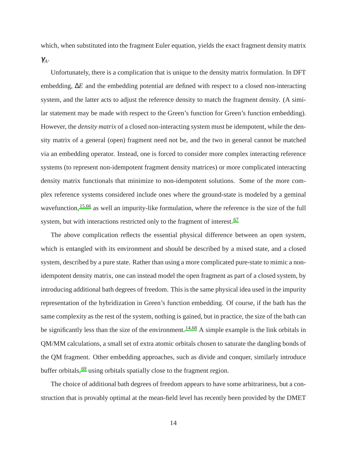which, when substituted into the fragment Euler equation, yields the exact fragment density matrix  $\gamma_A$ .

Unfortunately, there is a complication that is unique to the density matrix formulation. In DFT embedding, ∆*E* and the embedding potential are defined with respect to a closed non-interacting system, and the latter acts to adjust the reference density to match the fragment density. (A similar statement may be made with respect to the Green's function for Green's function embedding). However, the *density matrix* of a closed non-interacting system must be idempotent, while the density matrix of a general (open) fragment need not be, and the two in general cannot be matched via an embedding operator. Instead, one is forced to consider more complex interacting reference systems (to represent non-idempotent fragment density matrices) or more complicated interacting density matrix functionals that minimize to non-idempotent solutions. Some of the more complex reference systems considered include ones where the ground-state is modeled by a geminal wavefunction, <sup>[15](#page-19-0)[,66](#page-24-4)</sup> as well an impurity-like formulation, where the reference is the size of the full system, but with interactions restricted only to the fragment of interest.<sup>[67](#page-24-5)</sup>

The above complication reflects the essential physical difference between an open system, which is entangled with its environment and should be described by a mixed state, and a closed system, described by a pure state. Rather than using a more complicated pure-state to mimic a nonidempotent density matrix, one can instead model the open fragment as part of a closed system, by introducing additional bath degrees of freedom. This is the same physical idea used in the impurity representation of the hybridization in Green's function embedding. Of course, if the bath has the same complexity as the rest of the system, nothing is gained, but in practice, the size of the bath can be significantly less than the size of the environment.<sup>[14](#page-19-1)[,68](#page-24-6)</sup> A simple example is the link orbitals in QM/MM calculations, a small set of extra atomic orbitals chosen to saturate the dangling bonds of the QM fragment. Other embedding approaches, such as divide and conquer, similarly introduce buffer orbitals, <sup>[69](#page-24-7)</sup> using orbitals spatially close to the fragment region.

The choice of additional bath degrees of freedom appears to have some arbitrariness, but a construction that is provably optimal at the mean-field level has recently been provided by the DMET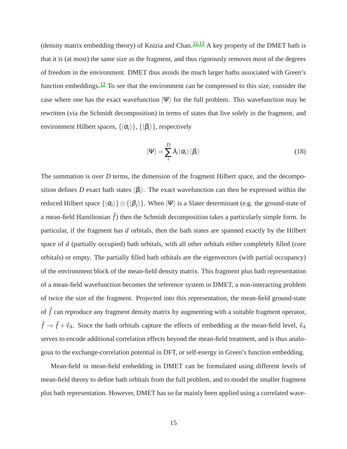(density matrix embedding theory) of Knizia and Chan.[12](#page-18-3)[,13](#page-18-9) A key property of the DMET bath is that it is (at most) the same size as the fragment, and thus rigorously removes most of the degrees of freedom in the environment. DMET thus avoids the much larger baths associated with Green's function embeddings.<sup>[12](#page-18-3)</sup> To see that the environment can be compressed to this size, consider the case where one has the exact wavefunction  $|\Psi\rangle$  for the full problem. This wavefunction may be rewritten (via the Schmidt decomposition) in terms of states that live solely in the fragment, and environment Hilbert spaces,  $\{|\alpha_i\rangle\}$ ,  $\{|\beta_i\rangle\}$ , respectively

$$
\left|\Psi\right\rangle = \sum_{i}^{D} \lambda_{i} \left|\alpha_{i}\right\rangle \left|\beta_{i}\right\rangle \tag{18}
$$

The summation is over *D* terms, the dimension of the fragment Hilbert space, and the decomposition defines *D* exact bath states  $|\beta_i\rangle$ . The exact wavefunction can then be expressed within the reduced Hilbert space  $\{|\alpha_i\rangle\} \otimes \{|\beta_j\rangle\}$ . When  $|\Psi\rangle$  is a Slater determinant (e.g. the ground-state of a mean-field Hamiltonian  $\hat{f}$ ) then the Schmidt decomposition takes a particularly simple form. In particular, if the fragment has *d* orbitals, then the bath states are spanned exactly by the Hilbert space of *d* (partially occupied) bath orbitals, with all other orbitals either completely filled (core orbitals) or empty. The partially filled bath orbitals are the eigenvectors (with partial occupancy) of the environment block of the mean-field density matrix. This fragment plus bath representation of a mean-field wavefunction becomes the reference system in DMET, a non-interacting problem of twice the size of the fragment. Projected into this representation, the mean-field ground-state of  $\hat{f}$  can reproduce any fragment density matrix by augmenting with a suitable fragment operator,  $\hat{f} \rightarrow \hat{f} + \hat{v}_A$ . Since the bath orbitals capture the effects of embedding at the mean-field level,  $\hat{v}_A$ serves to encode additional correlation effects beyond the mean-field treatment, and is thus analogous to the exchange-correlation potential in DFT, or self-energy in Green's function embedding.

Mean-field in mean-field embedding in DMET can be formulated using different levels of mean-field theory to define bath orbitals from the full problem, and to model the smaller fragment plus bath representation. However, DMET has so far mainly been applied using a correlated wave-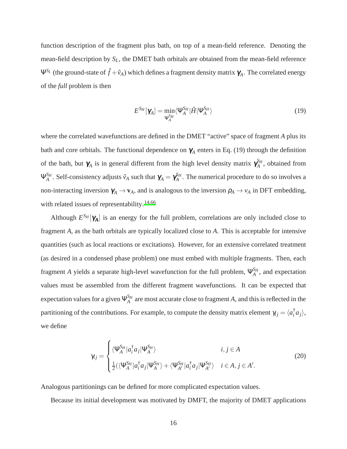function description of the fragment plus bath, on top of a mean-field reference. Denoting the mean-field description by *SL*, the DMET bath orbitals are obtained from the mean-field reference Ψ<sup>S<sub>*L*</sub></sup> (the ground-state of  $\hat{f} + \hat{v}_A$ ) which defines a fragment density matrix  $\gamma_A$ . The correlated energy of the *full* problem is then

$$
E^{S_H}[\gamma_A] = \min_{\Psi_A^{S_H}} \langle \Psi_A^{S_H} | \hat{H} | \Psi_A^{S_H} \rangle \tag{19}
$$

where the correlated wavefunctions are defined in the DMET "active" space of fragment *A* plus its bath and core orbitals. The functional dependence on  $\gamma_A$  enters in Eq. (19) through the definition of the bath, but  $\gamma_A$  is in general different from the high level density matrix  $\gamma_A^{S_H}$  $A$ <sup>*AH*</sup>, obtained from  $\Psi_{A}^{S_{H}}$  $\alpha_A^{S_H}$ . Self-consistency adjusts  $\hat{v}_A$  such that  $\pmb{\gamma}_A = \pmb{\gamma}_A^{S_H}$  $A_A^{M}$ . The numerical procedure to do so involves a non-interacting inversion  $\gamma_A \to \mathbf{v}_A$ , and is analogous to the inversion  $\rho_A \to \nu_A$  in DFT embedding, with related issues of representability.<sup>[14](#page-19-1)[,66](#page-24-4)</sup>

Although  $E^{S_H}[\gamma_A]$  is an energy for the full problem, correlations are only included close to fragment *A*, as the bath orbitals are typically localized close to *A*. This is acceptable for intensive quantities (such as local reactions or excitations). However, for an extensive correlated treatment (as desired in a condensed phase problem) one must embed with multiple fragments. Then, each fragment *A* yields a separate high-level wavefunction for the full problem, Ψ *SH*  $A^{\text{M}}$ , and expectation values must be assembled from the different fragment wavefunctions. It can be expected that expectation values for a given Ψ *SH*  $A_A^{S_H}$  are most accurate close to fragment *A*, and this is reflected in the partitioning of the contributions. For example, to compute the density matrix element  $\gamma_{ij} = \langle a_i^{\dagger} \rangle$  $\{a_j\},\$ we define

$$
\gamma_{ij} = \begin{cases} \langle \Psi_A^{S_H} | a_i^{\dagger} a_j | \Psi_A^{S_H} \rangle & i, j \in A \\ \frac{1}{2} (\langle \Psi_A^{S_H} | a_i^{\dagger} a_j | \Psi_A^{S_H} \rangle + \langle \Psi_{A'}^{S_H} | a_i^{\dagger} a_j | \Psi_A^{S_H} \rangle & i \in A, j \in A'. \end{cases}
$$
(20)

Analogous partitionings can be defined for more complicated expectation values.

Because its initial development was motivated by DMFT, the majority of DMET applications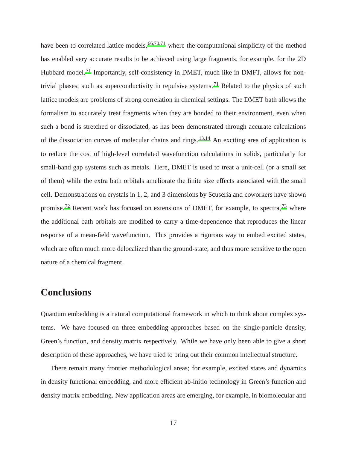have been to correlated lattice models,  $66,70,71$  $66,70,71$  $66,70,71$  where the computational simplicity of the method has enabled very accurate results to be achieved using large fragments, for example, for the 2D Hubbard model.<sup>[71](#page-24-9)</sup> Importantly, self-consistency in DMET, much like in DMFT, allows for non-trivial phases, such as superconductivity in repulsive systems.<sup>[71](#page-24-9)</sup> Related to the physics of such lattice models are problems of strong correlation in chemical settings. The DMET bath allows the formalism to accurately treat fragments when they are bonded to their environment, even when such a bond is stretched or dissociated, as has been demonstrated through accurate calculations of the dissociation curves of molecular chains and rings.[13](#page-18-9)[,14](#page-19-1) An exciting area of application is to reduce the cost of high-level correlated wavefunction calculations in solids, particularly for small-band gap systems such as metals. Here, DMET is used to treat a unit-cell (or a small set of them) while the extra bath orbitals ameliorate the finite size effects associated with the small cell. Demonstrations on crystals in 1, 2, and 3 dimensions by Scuseria and coworkers have shown promise.<sup>[72](#page-24-10)</sup> Recent work has focused on extensions of DMET, for example, to spectra,<sup>[73](#page-25-0)</sup> where the additional bath orbitals are modified to carry a time-dependence that reproduces the linear response of a mean-field wavefunction. This provides a rigorous way to embed excited states, which are often much more delocalized than the ground-state, and thus more sensitive to the open nature of a chemical fragment.

## **Conclusions**

Quantum embedding is a natural computational framework in which to think about complex systems. We have focused on three embedding approaches based on the single-particle density, Green's function, and density matrix respectively. While we have only been able to give a short description of these approaches, we have tried to bring out their common intellectual structure.

There remain many frontier methodological areas; for example, excited states and dynamics in density functional embedding, and more efficient ab-initio technology in Green's function and density matrix embedding. New application areas are emerging, for example, in biomolecular and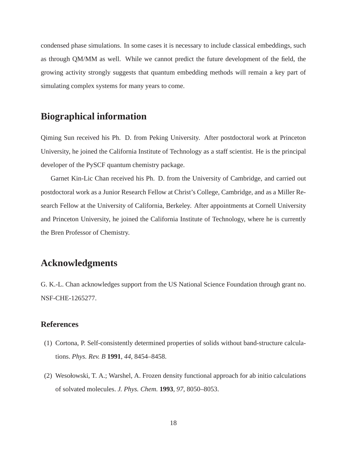condensed phase simulations. In some cases it is necessary to include classical embeddings, such as through QM/MM as well. While we cannot predict the future development of the field, the growing activity strongly suggests that quantum embedding methods will remain a key part of simulating complex systems for many years to come.

#### **Biographical information**

Qiming Sun received his Ph. D. from Peking University. After postdoctoral work at Princeton University, he joined the California Institute of Technology as a staff scientist. He is the principal developer of the PySCF quantum chemistry package.

Garnet Kin-Lic Chan received his Ph. D. from the University of Cambridge, and carried out postdoctoral work as a Junior Research Fellow at Christ's College, Cambridge, and as a Miller Research Fellow at the University of California, Berkeley. After appointments at Cornell University and Princeton University, he joined the California Institute of Technology, where he is currently the Bren Professor of Chemistry.

## **Acknowledgments**

G. K.-L. Chan acknowledges support from the US National Science Foundation through grant no. NSF-CHE-1265277.

#### **References**

- <span id="page-17-0"></span>(1) Cortona, P. Self-consistently determined properties of solids without band-structure calculations. *Phys. Rev. B* **1991**, *44*, 8454–8458.
- <span id="page-17-1"></span>(2) Wesołowski, T. A.; Warshel, A. Frozen density functional approach for ab initio calculations of solvated molecules. *J. Phys. Chem.* **1993**, *97*, 8050–8053.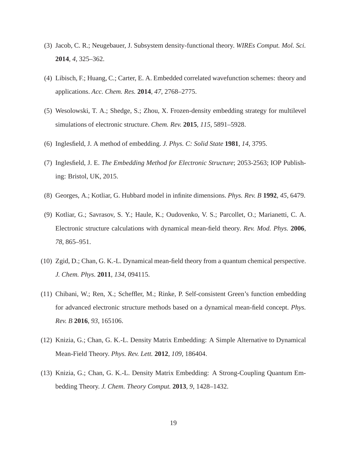- <span id="page-18-4"></span>(3) Jacob, C. R.; Neugebauer, J. Subsystem density-functional theory. *WIREs Comput. Mol. Sci.* **2014**, *4*, 325–362.
- (4) Libisch, F.; Huang, C.; Carter, E. A. Embedded correlated wavefunction schemes: theory and applications. *Acc. Chem. Res.* **2014**, *47*, 2768–2775.
- <span id="page-18-0"></span>(5) Wesolowski, T. A.; Shedge, S.; Zhou, X. Frozen-density embedding strategy for multilevel simulations of electronic structure. *Chem. Rev.* **2015**, *115*, 5891–5928.
- <span id="page-18-1"></span>(6) Inglesfield, J. A method of embedding. *J. Phys. C: Solid State* **1981**, *14*, 3795.
- <span id="page-18-5"></span>(7) Inglesfield, J. E. *The Embedding Method for Electronic Structure*; 2053-2563; IOP Publishing: Bristol, UK, 2015.
- <span id="page-18-8"></span>(8) Georges, A.; Kotliar, G. Hubbard model in infinite dimensions. *Phys. Rev. B* **1992**, *45*, 6479.
- <span id="page-18-6"></span>(9) Kotliar, G.; Savrasov, S. Y.; Haule, K.; Oudovenko, V. S.; Parcollet, O.; Marianetti, C. A. Electronic structure calculations with dynamical mean-field theory. *Rev. Mod. Phys.* **2006**, *78*, 865–951.
- <span id="page-18-7"></span>(10) Zgid, D.; Chan, G. K.-L. Dynamical mean-field theory from a quantum chemical perspective. *J. Chem. Phys.* **2011**, *134*, 094115.
- <span id="page-18-2"></span>(11) Chibani, W.; Ren, X.; Scheffler, M.; Rinke, P. Self-consistent Green's function embedding for advanced electronic structure methods based on a dynamical mean-field concept. *Phys. Rev. B* **2016**, *93*, 165106.
- <span id="page-18-3"></span>(12) Knizia, G.; Chan, G. K.-L. Density Matrix Embedding: A Simple Alternative to Dynamical Mean-Field Theory. *Phys. Rev. Lett.* **2012**, *109*, 186404.
- <span id="page-18-9"></span>(13) Knizia, G.; Chan, G. K.-L. Density Matrix Embedding: A Strong-Coupling Quantum Embedding Theory. *J. Chem. Theory Comput.* **2013**, *9*, 1428–1432.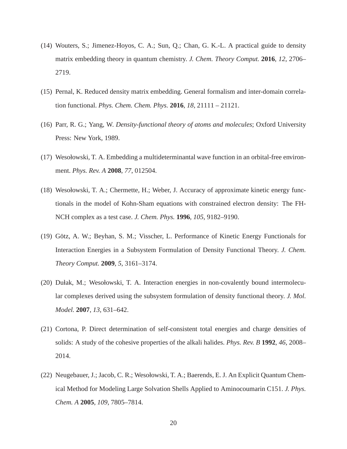- <span id="page-19-1"></span>(14) Wouters, S.; Jimenez-Hoyos, C. A.; Sun, Q.; Chan, G. K.-L. A practical guide to density matrix embedding theory in quantum chemistry. *J. Chem. Theory Comput.* **2016**, *12*, 2706– 2719.
- <span id="page-19-0"></span>(15) Pernal, K. Reduced density matrix embedding. General formalism and inter-domain correlation functional. *Phys. Chem. Chem. Phys.* **2016**, *18*, 21111 – 21121.
- <span id="page-19-2"></span>(16) Parr, R. G.; Yang, W. *Density-functional theory of atoms and molecules*; Oxford University Press: New York, 1989.
- <span id="page-19-3"></span>(17) Wesołowski, T. A. Embedding a multideterminantal wave function in an orbital-free environment. *Phys. Rev. A* **2008**, *77*, 012504.
- <span id="page-19-4"></span>(18) Wesołowski, T. A.; Chermette, H.; Weber, J. Accuracy of approximate kinetic energy functionals in the model of Kohn-Sham equations with constrained electron density: The FH-NCH complex as a test case. *J. Chem. Phys.* **1996**, *105*, 9182–9190.
- <span id="page-19-5"></span>(19) Götz, A. W.; Beyhan, S. M.; Visscher, L. Performance of Kinetic Energy Functionals for Interaction Energies in a Subsystem Formulation of Density Functional Theory. *J. Chem. Theory Comput.* **2009**, *5*, 3161–3174.
- <span id="page-19-6"></span>(20) Dułak, M.; Wesołowski, T. A. Interaction energies in non-covalently bound intermolecular complexes derived using the subsystem formulation of density functional theory. *J. Mol. Model.* **2007**, *13*, 631–642.
- <span id="page-19-7"></span>(21) Cortona, P. Direct determination of self-consistent total energies and charge densities of solids: A study of the cohesive properties of the alkali halides. *Phys. Rev. B* **1992**, *46*, 2008– 2014.
- <span id="page-19-8"></span>(22) Neugebauer, J.; Jacob, C. R.; Wesołowski, T. A.; Baerends, E. J. An Explicit Quantum Chemical Method for Modeling Large Solvation Shells Applied to Aminocoumarin C151. *J. Phys. Chem. A* **2005**, *109*, 7805–7814.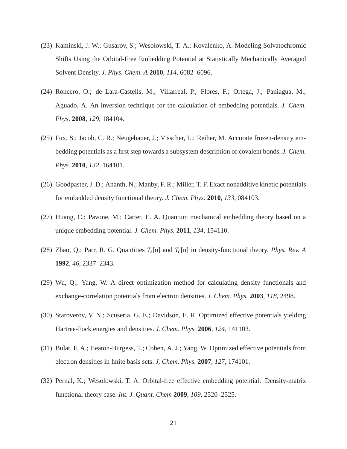- <span id="page-20-0"></span>(23) Kaminski, J. W.; Gusarov, S.; Wesołowski, T. A.; Kovalenko, A. Modeling Solvatochromic Shifts Using the Orbital-Free Embedding Potential at Statistically Mechanically Averaged Solvent Density. *J. Phys. Chem. A* **2010**, *114*, 6082–6096.
- <span id="page-20-1"></span>(24) Roncero, O.; de Lara-Castells, M.; Villarreal, P.; Flores, F.; Ortega, J.; Paniagua, M.; Aguado, A. An inversion technique for the calculation of embedding potentials. *J. Chem. Phys.* **2008**, *129*, 184104.
- (25) Fux, S.; Jacob, C. R.; Neugebauer, J.; Visscher, L.; Reiher, M. Accurate frozen-density embedding potentials as a first step towards a subsystem description of covalent bonds. *J. Chem. Phys.* **2010**, *132*, 164101.
- (26) Goodpaster, J. D.; Ananth, N.; Manby, F. R.; Miller, T. F. Exact nonadditive kinetic potentials for embedded density functional theory. *J. Chem. Phys.* **2010**, *133*, 084103.
- <span id="page-20-2"></span>(27) Huang, C.; Pavone, M.; Carter, E. A. Quantum mechanical embedding theory based on a unique embedding potential. *J. Chem. Phys.* **2011**, *134*, 154110.
- <span id="page-20-3"></span>(28) Zhao, Q.; Parr, R. G. Quantities *Ts*[n] and *Tc*[n] in density-functional theory. *Phys. Rev. A* **1992**, *46*, 2337–2343.
- <span id="page-20-4"></span>(29) Wu, Q.; Yang, W. A direct optimization method for calculating density functionals and exchange-correlation potentials from electron densities. *J. Chem. Phys.* **2003**, *118*, 2498.
- <span id="page-20-5"></span>(30) Staroverov, V. N.; Scuseria, G. E.; Davidson, E. R. Optimized effective potentials yielding Hartree-Fock energies and densities. *J. Chem. Phys.* **2006**, *124*, 141103.
- <span id="page-20-6"></span>(31) Bulat, F. A.; Heaton-Burgess, T.; Cohen, A. J.; Yang, W. Optimized effective potentials from electron densities in finite basis sets. *J. Chem. Phys.* **2007**, *127*, 174101.
- <span id="page-20-7"></span>(32) Pernal, K.; Wesolowski, T. A. Orbital-free effective embedding potential: Density-matrix functional theory case. *Int. J. Quant. Chem* **2009**, *109*, 2520–2525.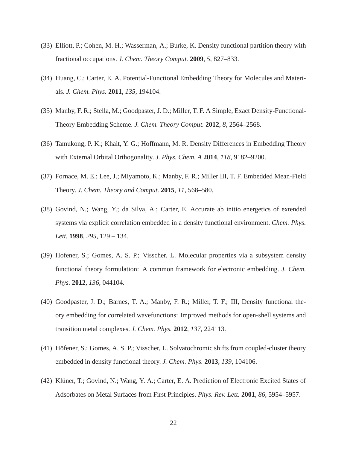- (33) Elliott, P.; Cohen, M. H.; Wasserman, A.; Burke, K. Density functional partition theory with fractional occupations. *J. Chem. Theory Comput.* **2009**, *5*, 827–833.
- <span id="page-21-0"></span>(34) Huang, C.; Carter, E. A. Potential-Functional Embedding Theory for Molecules and Materials. *J. Chem. Phys.* **2011**, *135*, 194104.
- <span id="page-21-1"></span>(35) Manby, F. R.; Stella, M.; Goodpaster, J. D.; Miller, T. F. A Simple, Exact Density-Functional-Theory Embedding Scheme. *J. Chem. Theory Comput.* **2012**, *8*, 2564–2568.
- <span id="page-21-2"></span>(36) Tamukong, P. K.; Khait, Y. G.; Hoffmann, M. R. Density Differences in Embedding Theory with External Orbital Orthogonality. *J. Phys. Chem. A* **2014**, *118*, 9182–9200.
- <span id="page-21-3"></span>(37) Fornace, M. E.; Lee, J.; Miyamoto, K.; Manby, F. R.; Miller III, T. F. Embedded Mean-Field Theory. *J. Chem. Theory and Comput.* **2015**, *11*, 568–580.
- <span id="page-21-4"></span>(38) Govind, N.; Wang, Y.; da Silva, A.; Carter, E. Accurate ab initio energetics of extended systems via explicit correlation embedded in a density functional environment. *Chem. Phys. Lett.* **1998**, *295*, 129 – 134.
- (39) Hofener, S.; Gomes, A. S. P.; Visscher, L. Molecular properties via a subsystem density functional theory formulation: A common framework for electronic embedding. *J. Chem. Phys.* **2012**, *136*, 044104.
- (40) Goodpaster, J. D.; Barnes, T. A.; Manby, F. R.; Miller, T. F.; III, Density functional theory embedding for correlated wavefunctions: Improved methods for open-shell systems and transition metal complexes. *J. Chem. Phys.* **2012**, *137*, 224113.
- <span id="page-21-5"></span>(41) Höfener, S.; Gomes, A. S. P.; Visscher, L. Solvatochromic shifts from coupled-cluster theory embedded in density functional theory. *J. Chem. Phys.* **2013**, *139*, 104106.
- <span id="page-21-6"></span>(42) Klüner, T.; Govind, N.; Wang, Y. A.; Carter, E. A. Prediction of Electronic Excited States of Adsorbates on Metal Surfaces from First Principles. *Phys. Rev. Lett.* **2001**, *86*, 5954–5957.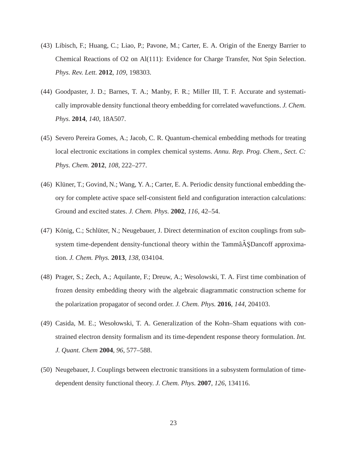- <span id="page-22-0"></span>(43) Libisch, F.; Huang, C.; Liao, P.; Pavone, M.; Carter, E. A. Origin of the Energy Barrier to Chemical Reactions of O2 on Al(111): Evidence for Charge Transfer, Not Spin Selection. *Phys. Rev. Lett.* **2012**, *109*, 198303.
- <span id="page-22-1"></span>(44) Goodpaster, J. D.; Barnes, T. A.; Manby, F. R.; Miller III, T. F. Accurate and systematically improvable density functional theory embedding for correlated wavefunctions. *J. Chem. Phys.* **2014**, *140*, 18A507.
- <span id="page-22-2"></span>(45) Severo Pereira Gomes, A.; Jacob, C. R. Quantum-chemical embedding methods for treating local electronic excitations in complex chemical systems. *Annu. Rep. Prog. Chem., Sect. C: Phys. Chem.* **2012**, *108*, 222–277.
- <span id="page-22-3"></span>(46) Klüner, T.; Govind, N.; Wang, Y. A.; Carter, E. A. Periodic density functional embedding theory for complete active space self-consistent field and configuration interaction calculations: Ground and excited states. *J. Chem. Phys.* **2002**, *116*, 42–54.
- <span id="page-22-4"></span>(47) König, C.; Schlüter, N.; Neugebauer, J. Direct determination of exciton couplings from subsystem time-dependent density-functional theory within the Tammâ $\tilde{A}$ , SDancoff approximation. *J. Chem. Phys.* **2013**, *138*, 034104.
- <span id="page-22-5"></span>(48) Prager, S.; Zech, A.; Aquilante, F.; Dreuw, A.; Wesolowski, T. A. First time combination of frozen density embedding theory with the algebraic diagrammatic construction scheme for the polarization propagator of second order. *J. Chem. Phys.* **2016**, *144*, 204103.
- <span id="page-22-6"></span>(49) Casida, M. E.; Wesołowski, T. A. Generalization of the Kohn–Sham equations with constrained electron density formalism and its time-dependent response theory formulation. *Int. J. Quant. Chem* **2004**, *96*, 577–588.
- (50) Neugebauer, J. Couplings between electronic transitions in a subsystem formulation of timedependent density functional theory. *J. Chem. Phys.* **2007**, *126*, 134116.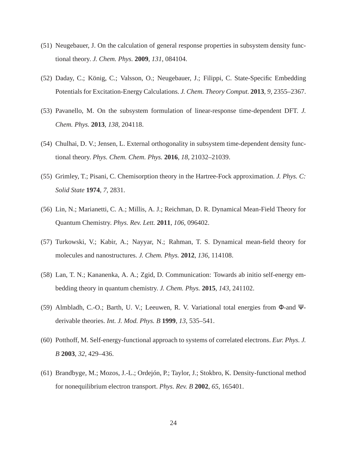- (51) Neugebauer, J. On the calculation of general response properties in subsystem density functional theory. *J. Chem. Phys.* **2009**, *131*, 084104.
- (52) Daday, C.; König, C.; Valsson, O.; Neugebauer, J.; Filippi, C. State-Specific Embedding Potentials for Excitation-Energy Calculations. *J. Chem. Theory Comput.* **2013**, *9*, 2355–2367.
- <span id="page-23-0"></span>(53) Pavanello, M. On the subsystem formulation of linear-response time-dependent DFT. *J. Chem. Phys.* **2013**, *138*, 204118.
- <span id="page-23-1"></span>(54) Chulhai, D. V.; Jensen, L. External orthogonality in subsystem time-dependent density functional theory. *Phys. Chem. Chem. Phys.* **2016**, *18*, 21032–21039.
- <span id="page-23-2"></span>(55) Grimley, T.; Pisani, C. Chemisorption theory in the Hartree-Fock approximation. *J. Phys. C: Solid State* **1974**, *7*, 2831.
- <span id="page-23-3"></span>(56) Lin, N.; Marianetti, C. A.; Millis, A. J.; Reichman, D. R. Dynamical Mean-Field Theory for Quantum Chemistry. *Phys. Rev. Lett.* **2011**, *106*, 096402.
- <span id="page-23-8"></span>(57) Turkowski, V.; Kabir, A.; Nayyar, N.; Rahman, T. S. Dynamical mean-field theory for molecules and nanostructures. *J. Chem. Phys.* **2012**, *136*, 114108.
- <span id="page-23-4"></span>(58) Lan, T. N.; Kananenka, A. A.; Zgid, D. Communication: Towards ab initio self-energy embedding theory in quantum chemistry. *J. Chem. Phys.* **2015**, *143*, 241102.
- <span id="page-23-5"></span>(59) Almbladh, C.-O.; Barth, U. V.; Leeuwen, R. V. Variational total energies from Φ-and Ψderivable theories. *Int. J. Mod. Phys. B* **1999**, *13*, 535–541.
- <span id="page-23-6"></span>(60) Potthoff, M. Self-energy-functional approach to systems of correlated electrons. *Eur. Phys. J. B* **2003**, *32*, 429–436.
- <span id="page-23-7"></span>(61) Brandbyge, M.; Mozos, J.-L.; Ordejón, P.; Taylor, J.; Stokbro, K. Density-functional method for nonequilibrium electron transport. *Phys. Rev. B* **2002**, *65*, 165401.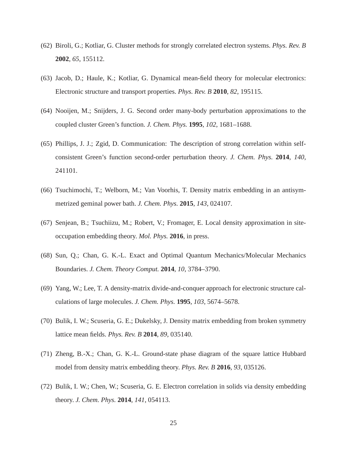- <span id="page-24-0"></span>(62) Biroli, G.; Kotliar, G. Cluster methods for strongly correlated electron systems. *Phys. Rev. B* **2002**, *65*, 155112.
- <span id="page-24-1"></span>(63) Jacob, D.; Haule, K.; Kotliar, G. Dynamical mean-field theory for molecular electronics: Electronic structure and transport properties. *Phys. Rev. B* **2010**, *82*, 195115.
- <span id="page-24-2"></span>(64) Nooijen, M.; Snijders, J. G. Second order many-body perturbation approximations to the coupled cluster Green's function. *J. Chem. Phys.* **1995**, *102*, 1681–1688.
- <span id="page-24-3"></span>(65) Phillips, J. J.; Zgid, D. Communication: The description of strong correlation within selfconsistent Green's function second-order perturbation theory. *J. Chem. Phys.* **2014**, *140*, 241101.
- <span id="page-24-4"></span>(66) Tsuchimochi, T.; Welborn, M.; Van Voorhis, T. Density matrix embedding in an antisymmetrized geminal power bath. *J. Chem. Phys.* **2015**, *143*, 024107.
- <span id="page-24-5"></span>(67) Senjean, B.; Tsuchiizu, M.; Robert, V.; Fromager, E. Local density approximation in siteoccupation embedding theory. *Mol. Phys.* **2016**, in press.
- <span id="page-24-6"></span>(68) Sun, Q.; Chan, G. K.-L. Exact and Optimal Quantum Mechanics/Molecular Mechanics Boundaries. *J. Chem. Theory Comput.* **2014**, *10*, 3784–3790.
- <span id="page-24-7"></span>(69) Yang, W.; Lee, T. A density-matrix divide-and-conquer approach for electronic structure calculations of large molecules. *J. Chem. Phys.* **1995**, *103*, 5674–5678.
- <span id="page-24-8"></span>(70) Bulik, I. W.; Scuseria, G. E.; Dukelsky, J. Density matrix embedding from broken symmetry lattice mean fields. *Phys. Rev. B* **2014**, *89*, 035140.
- <span id="page-24-9"></span>(71) Zheng, B.-X.; Chan, G. K.-L. Ground-state phase diagram of the square lattice Hubbard model from density matrix embedding theory. *Phys. Rev. B* **2016**, *93*, 035126.
- <span id="page-24-10"></span>(72) Bulik, I. W.; Chen, W.; Scuseria, G. E. Electron correlation in solids via density embedding theory. *J. Chem. Phys.* **2014**, *141*, 054113.